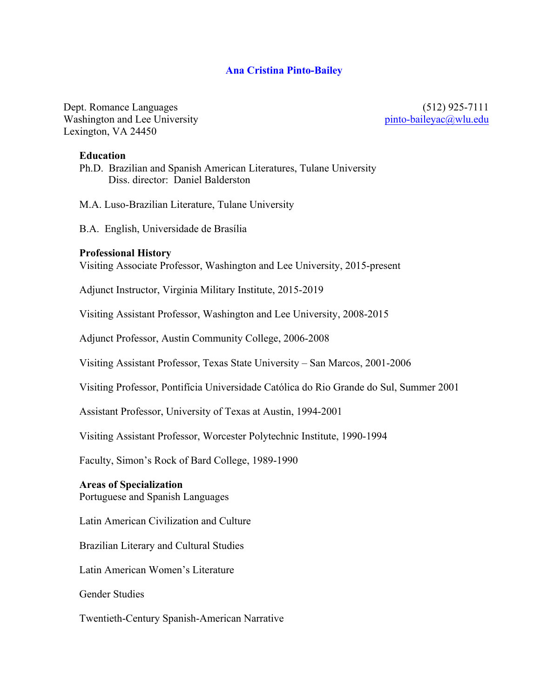## **Ana Cristina Pinto-Bailey**

Dept. Romance Languages Washington and Lee University Lexington, VA 24450

 (512) 925-7111 pinto-baileyac@wlu.edu

#### **Education**

Ph.D. Brazilian and Spanish American Literatures, Tulane University Diss. director: Daniel Balderston

M.A. Luso-Brazilian Literature, Tulane University

B.A. English, Universidade de Brasília

#### **Professional History**

Visiting Associate Professor, Washington and Lee University, 2015-present

Adjunct Instructor, Virginia Military Institute, 2015-2019

Visiting Assistant Professor, Washington and Lee University, 2008-2015

Adjunct Professor, Austin Community College, 2006-2008

Visiting Assistant Professor, Texas State University – San Marcos, 2001-2006

Visiting Professor, Pontifícia Universidade Católica do Rio Grande do Sul, Summer 2001

Assistant Professor, University of Texas at Austin, 1994-2001

Visiting Assistant Professor, Worcester Polytechnic Institute, 1990-1994

Faculty, Simon's Rock of Bard College, 1989-1990

#### **Areas of Specialization**

Portuguese and Spanish Languages

Latin American Civilization and Culture

Brazilian Literary and Cultural Studies

Latin American Women's Literature

Gender Studies

Twentieth-Century Spanish-American Narrative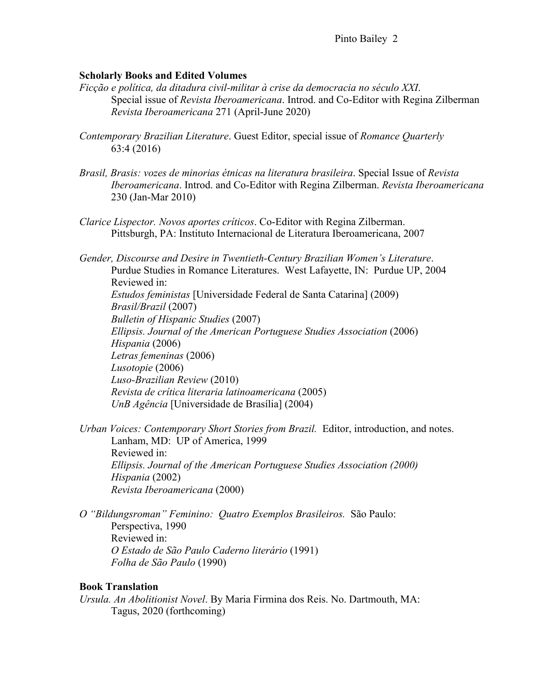## **Scholarly Books and Edited Volumes**

- *Ficção e política, da ditadura civil-militar à crise da democracia no século XXI*. Special issue of *Revista Iberoamericana*. Introd. and Co-Editor with Regina Zilberman *Revista Iberoamericana* 271 (April-June 2020)
- *Contemporary Brazilian Literature*. Guest Editor, special issue of *Romance Quarterly* 63:4 (2016)
- *Brasil, Brasis: vozes de minorias étnicas na literatura brasileira*. Special Issue of *Revista Iberoamericana*. Introd. and Co-Editor with Regina Zilberman. *Revista Iberoamericana* 230 (Jan-Mar 2010)
- *Clarice Lispector. Novos aportes críticos*. Co-Editor with Regina Zilberman. Pittsburgh, PA: Instituto Internacional de Literatura Iberoamericana, 2007

*Gender, Discourse and Desire in Twentieth-Century Brazilian Women's Literature*. Purdue Studies in Romance Literatures. West Lafayette, IN: Purdue UP, 2004 Reviewed in: *Estudos feministas* [Universidade Federal de Santa Catarina] (2009) *Brasil/Brazil* (2007) *Bulletin of Hispanic Studies* (2007) *Ellipsis. Journal of the American Portuguese Studies Association* (2006) *Hispania* (2006) *Letras femeninas* (2006) *Lusotopie* (2006) *Luso-Brazilian Review* (2010) *Revista de crítica literaria latinoamericana* (2005) *UnB Agência* [Universidade de Brasília] (2004)

*Urban Voices: Contemporary Short Stories from Brazil.* Editor, introduction, and notes. Lanham, MD: UP of America, 1999 Reviewed in: *Ellipsis. Journal of the American Portuguese Studies Association (2000) Hispania* (2002) *Revista Iberoamericana* (2000)

*O "Bildungsroman" Feminino: Quatro Exemplos Brasileiros.* São Paulo: Perspectiva, 1990 Reviewed in: *O Estado de São Paulo Caderno literário* (1991) *Folha de São Paulo* (1990)

#### **Book Translation**

*Ursula. An Abolitionist Novel*. By Maria Firmina dos Reis. No. Dartmouth, MA: Tagus, 2020 (forthcoming)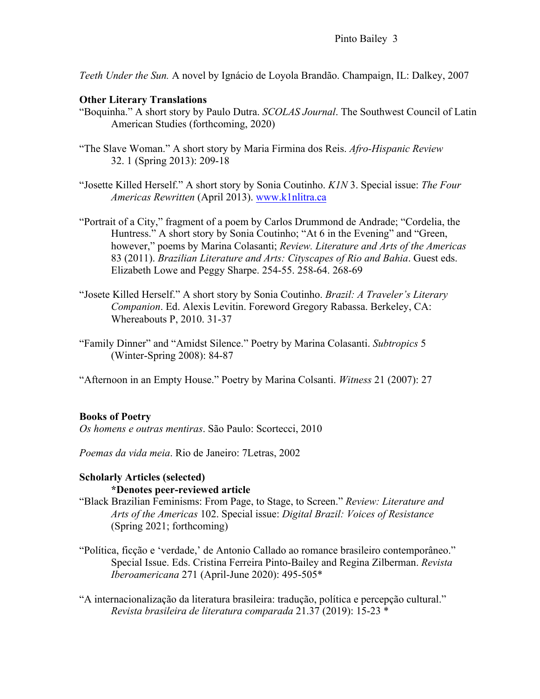*Teeth Under the Sun.* A novel by Ignácio de Loyola Brandão. Champaign, IL: Dalkey, 2007

# **Other Literary Translations**

- "Boquinha." A short story by Paulo Dutra. *SCOLAS Journal*. The Southwest Council of Latin American Studies (forthcoming, 2020)
- "The Slave Woman." A short story by Maria Firmina dos Reis. *Afro-Hispanic Review* 32. 1 (Spring 2013): 209-18
- "Josette Killed Herself." A short story by Sonia Coutinho. *K1N* 3. Special issue: *The Four Americas Rewritten* (April 2013). www.k1nlitra.ca
- "Portrait of a City," fragment of a poem by Carlos Drummond de Andrade; "Cordelia, the Huntress." A short story by Sonia Coutinho; "At 6 in the Evening" and "Green, however," poems by Marina Colasanti; *Review. Literature and Arts of the Americas* 83 (2011). *Brazilian Literature and Arts: Cityscapes of Rio and Bahia*. Guest eds. Elizabeth Lowe and Peggy Sharpe. 254-55. 258-64. 268-69
- "Josete Killed Herself." A short story by Sonia Coutinho. *Brazil: A Traveler's Literary Companion*. Ed. Alexis Levitin. Foreword Gregory Rabassa. Berkeley, CA: Whereabouts P, 2010. 31-37
- "Family Dinner" and "Amidst Silence." Poetry by Marina Colasanti. *Subtropics* 5 (Winter-Spring 2008): 84-87

"Afternoon in an Empty House." Poetry by Marina Colsanti. *Witness* 21 (2007): 27

## **Books of Poetry**

*Os homens e outras mentiras*. São Paulo: Scortecci, 2010

*Poemas da vida meia*. Rio de Janeiro: 7Letras, 2002

## **Scholarly Articles (selected)**

#### **\*Denotes peer-reviewed article**

- "Black Brazilian Feminisms: From Page, to Stage, to Screen." *Review: Literature and Arts of the Americas* 102. Special issue: *Digital Brazil: Voices of Resistance* (Spring 2021; forthcoming)
- "Política, ficção e 'verdade,' de Antonio Callado ao romance brasileiro contemporâneo." Special Issue. Eds. Cristina Ferreira Pinto-Bailey and Regina Zilberman. *Revista Iberoamericana* 271 (April-June 2020): 495-505\*
- "A internacionalização da literatura brasileira: tradução, política e percepção cultural." *Revista brasileira de literatura comparada* 21.37 (2019): 15-23 \*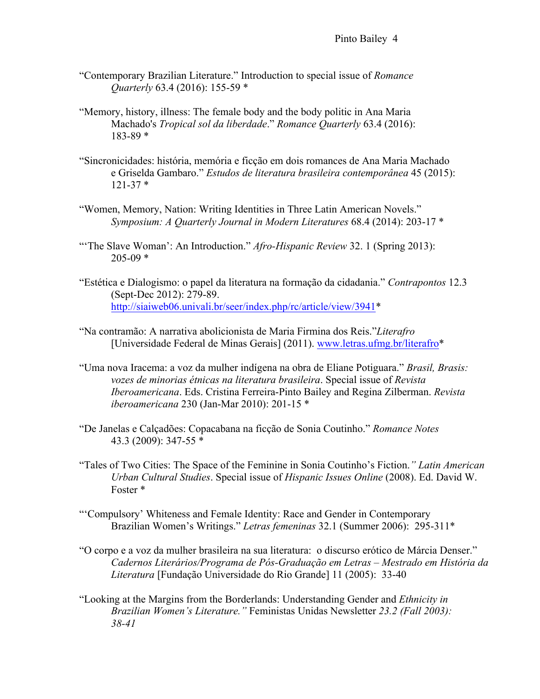- "Contemporary Brazilian Literature." Introduction to special issue of *Romance Quarterly* 63.4 (2016): 155-59 \*
- "Memory, history, illness: The female body and the body politic in Ana Maria Machado's *Tropical sol da liberdade*." *Romance Quarterly* 63.4 (2016): 183-89 \*
- "Sincronicidades: história, memória e ficção em dois romances de Ana Maria Machado e Griselda Gambaro." *Estudos de literatura brasileira contemporânea* 45 (2015):  $121-37$  \*
- "Women, Memory, Nation: Writing Identities in Three Latin American Novels." *Symposium: A Quarterly Journal in Modern Literatures* 68.4 (2014): 203-17 \*
- "'The Slave Woman': An Introduction." *Afro-Hispanic Review* 32. 1 (Spring 2013):  $205-09$  \*
- "Estética e Dialogismo: o papel da literatura na formação da cidadania." *Contrapontos* 12.3 (Sept-Dec 2012): 279-89. http://siaiweb06.univali.br/seer/index.php/rc/article/view/3941\*
- "Na contramão: A narrativa abolicionista de Maria Firmina dos Reis."*Literafro*  [Universidade Federal de Minas Gerais] (2011). www.letras.ufmg.br/literafro\*
- "Uma nova Iracema: a voz da mulher indígena na obra de Eliane Potiguara." *Brasil, Brasis: vozes de minorias étnicas na literatura brasileira*. Special issue of *Revista Iberoamericana*. Eds. Cristina Ferreira-Pinto Bailey and Regina Zilberman. *Revista iberoamericana* 230 (Jan-Mar 2010): 201-15 \*
- "De Janelas e Calçadões: Copacabana na ficção de Sonia Coutinho." *Romance Notes* 43.3 (2009): 347-55 \*
- "Tales of Two Cities: The Space of the Feminine in Sonia Coutinho's Fiction.*" Latin American Urban Cultural Studies*. Special issue of *Hispanic Issues Online* (2008). Ed. David W. Foster \*
- "'Compulsory' Whiteness and Female Identity: Race and Gender in Contemporary Brazilian Women's Writings." *Letras femeninas* 32.1 (Summer 2006): 295-311\*
- "O corpo e a voz da mulher brasileira na sua literatura: o discurso erótico de Márcia Denser." *Cadernos Literários/Programa de Pós-Graduação em Letras – Mestrado em História da Literatura* [Fundação Universidade do Rio Grande] 11 (2005): 33-40
- "Looking at the Margins from the Borderlands: Understanding Gender and *Ethnicity in Brazilian Women's Literature."* Feministas Unidas Newsletter *23.2 (Fall 2003): 38-41*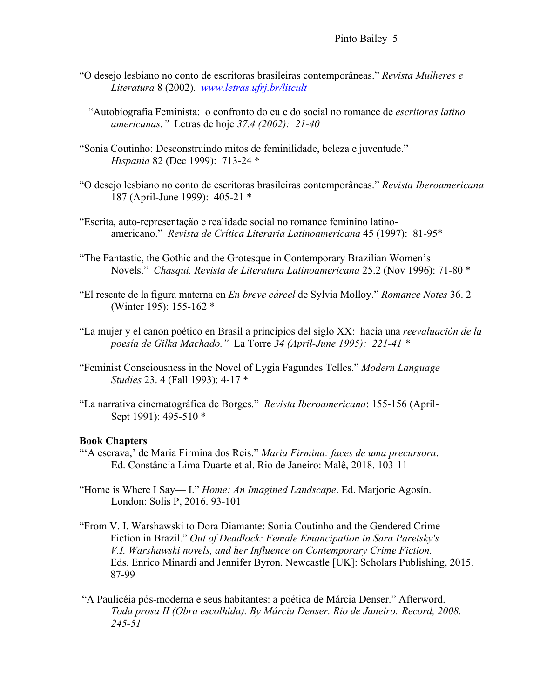## Pinto Bailey 5

"O desejo lesbiano no conto de escritoras brasileiras contemporâneas." *Revista Mulheres e Literatura* 8 (2002)*. www.letras.ufrj.br/litcult*

"Autobiografia Feminista: o confronto do eu e do social no romance de *escritoras latino americanas."* Letras de hoje *37.4 (2002): 21-40*

- "Sonia Coutinho: Desconstruindo mitos de feminilidade, beleza e juventude." *Hispania* 82 (Dec 1999): 713-24 \*
- "O desejo lesbiano no conto de escritoras brasileiras contemporâneas." *Revista Iberoamericana* 187 (April-June 1999): 405-21 \*
- "Escrita, auto-representação e realidade social no romance feminino latinoamericano." *Revista de Crítica Literaria Latinoamericana* 45 (1997): 81-95\*
- "The Fantastic, the Gothic and the Grotesque in Contemporary Brazilian Women's Novels." *Chasqui. Revista de Literatura Latinoamericana* 25.2 (Nov 1996): 71-80 \*
- "El rescate de la figura materna en *En breve cárcel* de Sylvia Molloy." *Romance Notes* 36. 2 (Winter 195): 155-162 \*
- "La mujer y el canon poético en Brasil a principios del siglo XX: hacia una *reevaluación de la poesía de Gilka Machado."* La Torre *34 (April-June 1995): 221-41 \**
- "Feminist Consciousness in the Novel of Lygia Fagundes Telles." *Modern Language Studies* 23. 4 (Fall 1993): 4-17 \*
- "La narrativa cinematográfica de Borges." *Revista Iberoamericana*: 155-156 (April-Sept 1991): 495-510 \*

#### **Book Chapters**

- "'A escrava,' de Maria Firmina dos Reis." *Maria Firmina: faces de uma precursora*. Ed. Constância Lima Duarte et al. Rio de Janeiro: Malê, 2018. 103-11
- "Home is Where I Say— I." *Home: An Imagined Landscape*. Ed. Marjorie Agosín. London: Solis P, 2016. 93-101
- "From V. I. Warshawski to Dora Diamante: Sonia Coutinho and the Gendered Crime Fiction in Brazil." *Out of Deadlock: Female Emancipation in Sara Paretsky's V.I. Warshawski novels, and her Influence on Contemporary Crime Fiction.* Eds. Enrico Minardi and Jennifer Byron. Newcastle [UK]: Scholars Publishing, 2015. 87-99
- "A Paulicéia pós-moderna e seus habitantes: a poética de Márcia Denser." Afterword. *Toda prosa II (Obra escolhida). By Márcia Denser. Rio de Janeiro: Record, 2008. 245-51*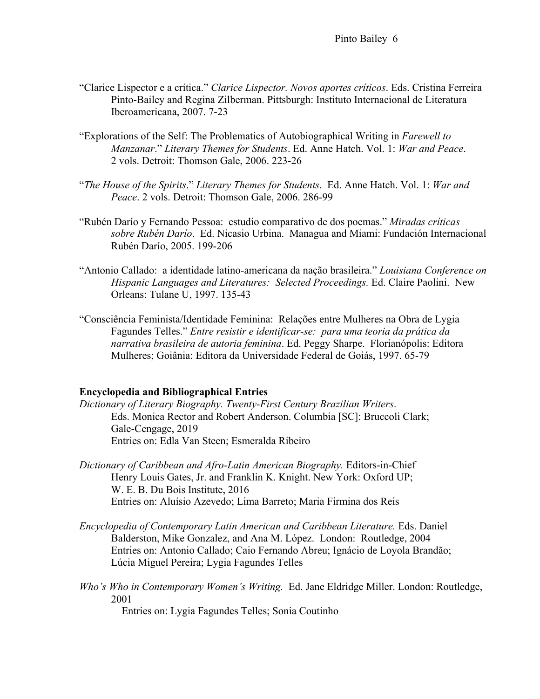- "Clarice Lispector e a crítica." *Clarice Lispector. Novos aportes críticos*. Eds. Cristina Ferreira Pinto-Bailey and Regina Zilberman. Pittsburgh: Instituto Internacional de Literatura Iberoamericana, 2007. 7-23
- "Explorations of the Self: The Problematics of Autobiographical Writing in *Farewell to Manzanar*." *Literary Themes for Students*. Ed. Anne Hatch. Vol. 1: *War and Peace*. 2 vols. Detroit: Thomson Gale, 2006. 223-26
- "*The House of the Spirits*." *Literary Themes for Students*. Ed. Anne Hatch. Vol. 1: *War and Peace*. 2 vols. Detroit: Thomson Gale, 2006. 286-99
- "Rubén Darío y Fernando Pessoa: estudio comparativo de dos poemas." *Miradas críticas sobre Rubén Darío*. Ed. Nicasio Urbina. Managua and Miami: Fundación Internacional Rubén Darío, 2005. 199-206
- "Antonio Callado: a identidade latino-americana da nação brasileira." *Louisiana Conference on Hispanic Languages and Literatures: Selected Proceedings.* Ed. Claire Paolini. New Orleans: Tulane U, 1997. 135-43
- "Consciência Feminista/Identidade Feminina: Relações entre Mulheres na Obra de Lygia Fagundes Telles." *Entre resistir e identificar-se: para uma teoria da prática da narrativa brasileira de autoria feminina*. Ed. Peggy Sharpe. Florianópolis: Editora Mulheres; Goiânia: Editora da Universidade Federal de Goiás, 1997. 65-79

#### **Encyclopedia and Bibliographical Entries**

- *Dictionary of Literary Biography. Twenty-First Century Brazilian Writers*. Eds. Monica Rector and Robert Anderson. Columbia [SC]: Bruccoli Clark; Gale-Cengage, 2019 Entries on: Edla Van Steen; Esmeralda Ribeiro
- *Dictionary of Caribbean and Afro-Latin American Biography.* Editors-in-Chief Henry Louis Gates, Jr. and Franklin K. Knight. New York: Oxford UP; W. E. B. Du Bois Institute, 2016 Entries on: Aluísio Azevedo; Lima Barreto; Maria Firmina dos Reis
- *Encyclopedia of Contemporary Latin American and Caribbean Literature.* Eds. Daniel Balderston, Mike Gonzalez, and Ana M. López. London: Routledge, 2004 Entries on: Antonio Callado; Caio Fernando Abreu; Ignácio de Loyola Brandão; Lúcia Miguel Pereira; Lygia Fagundes Telles
- *Who's Who in Contemporary Women's Writing.* Ed. Jane Eldridge Miller. London: Routledge, 2001

Entries on: Lygia Fagundes Telles; Sonia Coutinho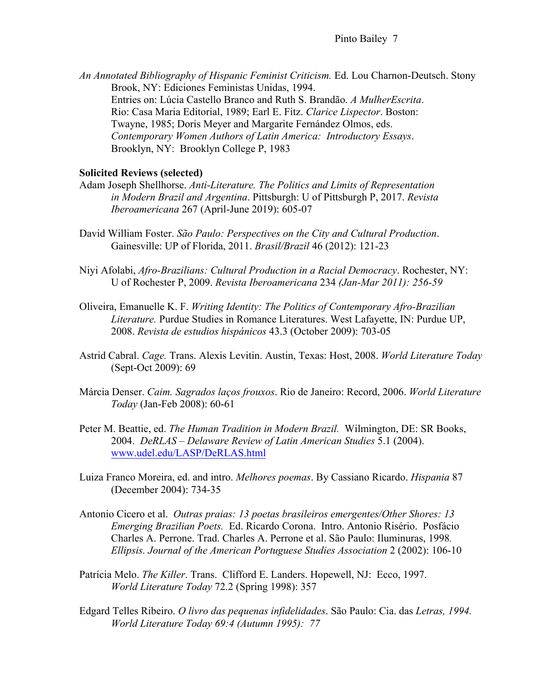*An Annotated Bibliography of Hispanic Feminist Criticism.* Ed. Lou Charnon-Deutsch. Stony Brook, NY: Ediciones Feministas Unidas, 1994. Entries on: Lúcia Castello Branco and Ruth S. Brandão. *A MulherEscrita*. Rio: Casa Maria Editorial, 1989; Earl E. Fitz. *Clarice Lispector*. Boston: Twayne, 1985; Doris Meyer and Margarite Fernández Olmos, eds. *Contemporary Women Authors of Latin America: Introductory Essays*. Brooklyn, NY: Brooklyn College P, 1983

## **Solicited Reviews (selected)**

- Adam Joseph Shellhorse. *Anti-Literature. The Politics and Limits of Representation in Modern Brazil and Argentina*. Pittsburgh: U of Pittsburgh P, 2017. *Revista Iberoamericana* 267 (April-June 2019): 605-07
- David William Foster. *São Paulo: Perspectives on the City and Cultural Production*. Gainesville: UP of Florida, 2011. *Brasil/Brazil* 46 (2012): 121-23
- Niyi Afolabi, *Afro-Brazilians: Cultural Production in a Racial Democracy*. Rochester, NY: U of Rochester P, 2009. *Revista Iberoamericana* 234 *(Jan-Mar 2011): 256-59*
- Oliveira, Emanuelle K. F. *Writing Identity: The Politics of Contemporary Afro-Brazilian Literature.* Purdue Studies in Romance Literatures. West Lafayette, IN: Purdue UP, 2008. *Revista de estudios hispánicos* 43.3 (October 2009): 703-05
- Astrid Cabral. *Cage.* Trans. Alexis Levitin. Austin, Texas: Host, 2008. *World Literature Today* (Sept-Oct 2009): 69
- Márcia Denser. *Caim. Sagrados laços frouxos*. Rio de Janeiro: Record, 2006. *World Literature Today* (Jan-Feb 2008): 60-61
- Peter M. Beattie, ed. *The Human Tradition in Modern Brazil.* Wilmington, DE: SR Books, 2004. *DeRLAS – Delaware Review of Latin American Studies* 5.1 (2004). www.udel.edu/LASP/DeRLAS.html
- Luiza Franco Moreira, ed. and intro. *Melhores poemas*. By Cassiano Ricardo. *Hispania* 87 (December 2004): 734-35
- Antonio Cicero et al. *Outras praias: 13 poetas brasileiros emergentes/Other Shores: 13 Emerging Brazilian Poets.* Ed. Ricardo Corona. Intro. Antonio Risério. Posfácio Charles A. Perrone. Trad. Charles A. Perrone et al. São Paulo: Iluminuras, 1998*. Ellipsis. Journal of the American Portuguese Studies Association* 2 (2002): 106-10
- Patrícia Melo. *The Killer*. Trans. Clifford E. Landers. Hopewell, NJ: Ecco, 1997. *World Literature Today* 72.2 (Spring 1998): 357
- Edgard Telles Ribeiro. *O livro das pequenas infidelidades*. São Paulo: Cia. das *Letras, 1994. World Literature Today 69:4 (Autumn 1995): 77*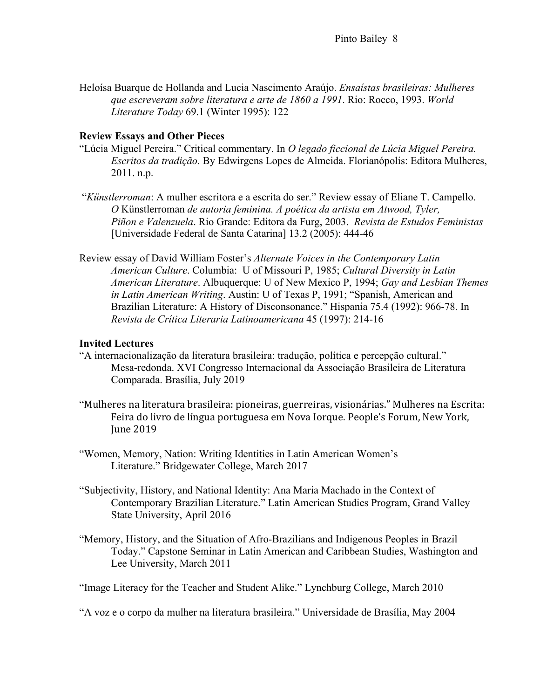Heloísa Buarque de Hollanda and Lucia Nascimento Araújo. *Ensaístas brasileiras: Mulheres que escreveram sobre literatura e arte de 1860 a 1991*. Rio: Rocco, 1993. *World Literature Today* 69.1 (Winter 1995): 122

## **Review Essays and Other Pieces**

- "Lúcia Miguel Pereira." Critical commentary. In *O legado ficcional de Lúcia Miguel Pereira. Escritos da tradição*. By Edwirgens Lopes de Almeida. Florianópolis: Editora Mulheres, 2011. n.p.
- "*Künstlerroman*: A mulher escritora e a escrita do ser." Review essay of Eliane T. Campello. *O* Künstlerroman *de autoria feminina. A poética da artista em Atwood, Tyler, Piñon e Valenzuela*. Rio Grande: Editora da Furg, 2003. *Revista de Estudos Feministas*  [Universidade Federal de Santa Catarina] 13.2 (2005): 444-46
- Review essay of David William Foster's *Alternate Voices in the Contemporary Latin American Culture*. Columbia: U of Missouri P, 1985; *Cultural Diversity in Latin American Literature*. Albuquerque: U of New Mexico P, 1994; *Gay and Lesbian Themes in Latin American Writing*. Austin: U of Texas P, 1991; "Spanish, American and Brazilian Literature: A History of Disconsonance." Hispania 75.4 (1992): 966-78. In *Revista de Crítica Literaria Latinoamericana* 45 (1997): 214-16

### **Invited Lectures**

- "A internacionalização da literatura brasileira: tradução, política e percepção cultural." Mesa-redonda. XVI Congresso Internacional da Associação Brasileira de Literatura Comparada. Brasília, July 2019
- "Mulheres na literatura brasileira: pioneiras, guerreiras, visionárias." Mulheres na Escrita: Feira do livro de língua portuguesa em Nova Iorque. People's Forum, New York, June 2019
- "Women, Memory, Nation: Writing Identities in Latin American Women's Literature." Bridgewater College, March 2017
- "Subjectivity, History, and National Identity: Ana Maria Machado in the Context of Contemporary Brazilian Literature." Latin American Studies Program, Grand Valley State University, April 2016
- "Memory, History, and the Situation of Afro-Brazilians and Indigenous Peoples in Brazil Today." Capstone Seminar in Latin American and Caribbean Studies, Washington and Lee University, March 2011

"Image Literacy for the Teacher and Student Alike." Lynchburg College, March 2010

"A voz e o corpo da mulher na literatura brasileira." Universidade de Brasília, May 2004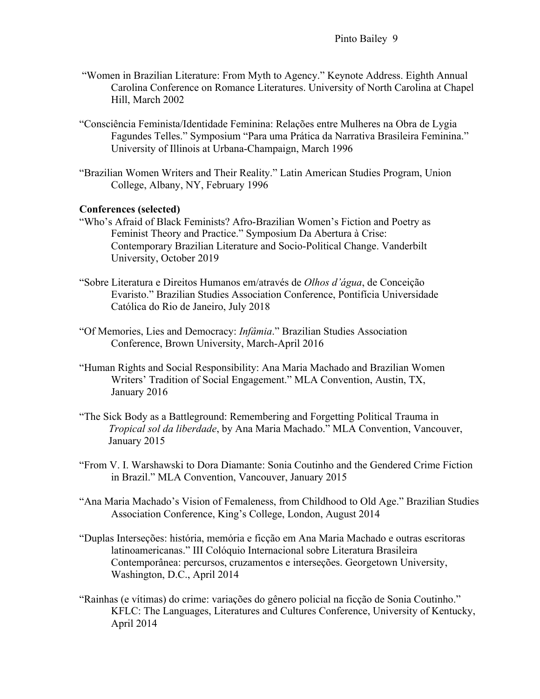- "Women in Brazilian Literature: From Myth to Agency." Keynote Address. Eighth Annual Carolina Conference on Romance Literatures. University of North Carolina at Chapel Hill, March 2002
- "Consciência Feminista/Identidade Feminina: Relações entre Mulheres na Obra de Lygia Fagundes Telles." Symposium "Para uma Prática da Narrativa Brasileira Feminina." University of Illinois at Urbana-Champaign, March 1996
- "Brazilian Women Writers and Their Reality." Latin American Studies Program, Union College, Albany, NY, February 1996

#### **Conferences (selected)**

- "Who's Afraid of Black Feminists? Afro-Brazilian Women's Fiction and Poetry as Feminist Theory and Practice." Symposium Da Abertura à Crise: Contemporary Brazilian Literature and Socio-Political Change. Vanderbilt University, October 2019
- "Sobre Literatura e Direitos Humanos em/através de *Olhos d'água*, de Conceição Evaristo." Brazilian Studies Association Conference, Pontifícia Universidade Católica do Rio de Janeiro, July 2018
- "Of Memories, Lies and Democracy: *Infâmia*." Brazilian Studies Association Conference, Brown University, March-April 2016
- "Human Rights and Social Responsibility: Ana Maria Machado and Brazilian Women Writers' Tradition of Social Engagement." MLA Convention, Austin, TX, January 2016
- "The Sick Body as a Battleground: Remembering and Forgetting Political Trauma in *Tropical sol da liberdade*, by Ana Maria Machado." MLA Convention, Vancouver, January 2015
- "From V. I. Warshawski to Dora Diamante: Sonia Coutinho and the Gendered Crime Fiction in Brazil." MLA Convention, Vancouver, January 2015
- "Ana Maria Machado's Vision of Femaleness, from Childhood to Old Age." Brazilian Studies Association Conference, King's College, London, August 2014
- "Duplas Interseções: história, memória e ficção em Ana Maria Machado e outras escritoras latinoamericanas." III Colóquio Internacional sobre Literatura Brasileira Contemporânea: percursos, cruzamentos e interseções. Georgetown University, Washington, D.C., April 2014
- "Rainhas (e vítimas) do crime: variações do gênero policial na ficção de Sonia Coutinho." KFLC: The Languages, Literatures and Cultures Conference, University of Kentucky, April 2014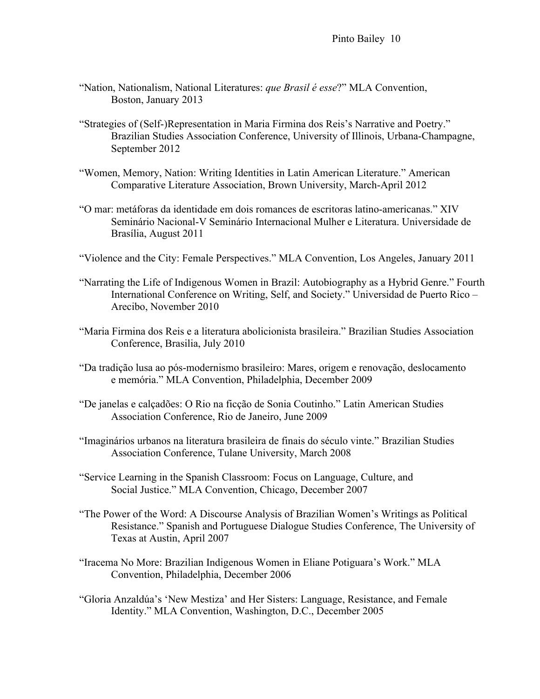- "Nation, Nationalism, National Literatures: *que Brasil é esse*?" MLA Convention, Boston, January 2013
- "Strategies of (Self-)Representation in Maria Firmina dos Reis's Narrative and Poetry." Brazilian Studies Association Conference, University of Illinois, Urbana-Champagne, September 2012
- "Women, Memory, Nation: Writing Identities in Latin American Literature." American Comparative Literature Association, Brown University, March-April 2012
- "O mar: metáforas da identidade em dois romances de escritoras latino-americanas." XIV Seminário Nacional-V Seminário Internacional Mulher e Literatura. Universidade de Brasília, August 2011
- "Violence and the City: Female Perspectives." MLA Convention, Los Angeles, January 2011
- "Narrating the Life of Indigenous Women in Brazil: Autobiography as a Hybrid Genre." Fourth International Conference on Writing, Self, and Society." Universidad de Puerto Rico – Arecibo, November 2010
- "Maria Firmina dos Reis e a literatura abolicionista brasileira." Brazilian Studies Association Conference, Brasilia, July 2010
- "Da tradição lusa ao pós-modernismo brasileiro: Mares, origem e renovação, deslocamento e memória." MLA Convention, Philadelphia, December 2009
- "De janelas e calçadões: O Rio na ficção de Sonia Coutinho." Latin American Studies Association Conference, Rio de Janeiro, June 2009
- "Imaginários urbanos na literatura brasileira de finais do século vinte." Brazilian Studies Association Conference, Tulane University, March 2008
- "Service Learning in the Spanish Classroom: Focus on Language, Culture, and Social Justice." MLA Convention, Chicago, December 2007
- "The Power of the Word: A Discourse Analysis of Brazilian Women's Writings as Political Resistance." Spanish and Portuguese Dialogue Studies Conference, The University of Texas at Austin, April 2007
- "Iracema No More: Brazilian Indigenous Women in Eliane Potiguara's Work." MLA Convention, Philadelphia, December 2006
- "Gloria Anzaldúa's 'New Mestiza' and Her Sisters: Language, Resistance, and Female Identity." MLA Convention, Washington, D.C., December 2005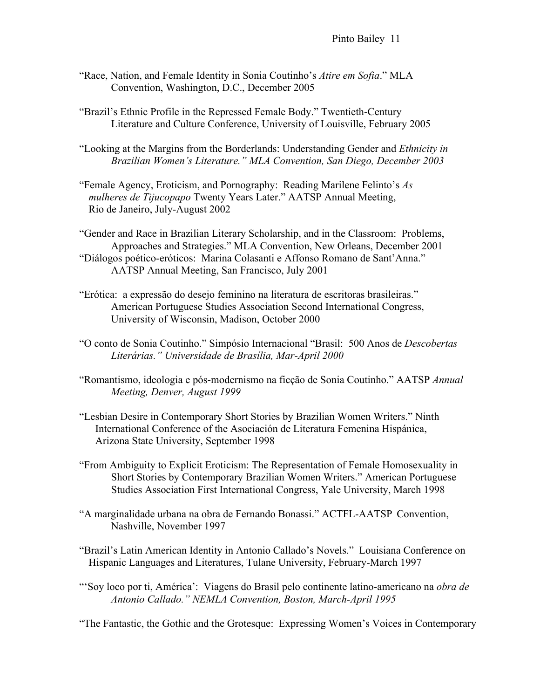Pinto Bailey 11

- "Race, Nation, and Female Identity in Sonia Coutinho's *Atire em Sofia*." MLA Convention, Washington, D.C., December 2005
- "Brazil's Ethnic Profile in the Repressed Female Body." Twentieth-Century Literature and Culture Conference, University of Louisville, February 2005
- "Looking at the Margins from the Borderlands: Understanding Gender and *Ethnicity in Brazilian Women's Literature." MLA Convention, San Diego, December 2003*
- "Female Agency, Eroticism, and Pornography: Reading Marilene Felinto's *As mulheres de Tijucopapo* Twenty Years Later." AATSP Annual Meeting, Rio de Janeiro, July-August 2002

"Gender and Race in Brazilian Literary Scholarship, and in the Classroom: Problems, Approaches and Strategies." MLA Convention, New Orleans, December 2001 "Diálogos poético-eróticos: Marina Colasanti e Affonso Romano de Sant'Anna." AATSP Annual Meeting, San Francisco, July 2001

- "Erótica: a expressão do desejo feminino na literatura de escritoras brasileiras." American Portuguese Studies Association Second International Congress, University of Wisconsin, Madison, October 2000
- "O conto de Sonia Coutinho." Simpósio Internacional "Brasil: 500 Anos de *Descobertas Literárias." Universidade de Brasília, Mar-April 2000*
- "Romantismo, ideologia e pós-modernismo na ficção de Sonia Coutinho." AATSP *Annual Meeting, Denver, August 1999*
- "Lesbian Desire in Contemporary Short Stories by Brazilian Women Writers." Ninth International Conference of the Asociación de Literatura Femenina Hispánica, Arizona State University, September 1998
- "From Ambiguity to Explicit Eroticism: The Representation of Female Homosexuality in Short Stories by Contemporary Brazilian Women Writers." American Portuguese Studies Association First International Congress, Yale University, March 1998
- "A marginalidade urbana na obra de Fernando Bonassi." ACTFL-AATSP Convention, Nashville, November 1997
- "Brazil's Latin American Identity in Antonio Callado's Novels." Louisiana Conference on Hispanic Languages and Literatures, Tulane University, February-March 1997
- "'Soy loco por ti, América': Viagens do Brasil pelo continente latino-americano na *obra de Antonio Callado." NEMLA Convention, Boston, March-April 1995*

"The Fantastic, the Gothic and the Grotesque: Expressing Women's Voices in Contemporary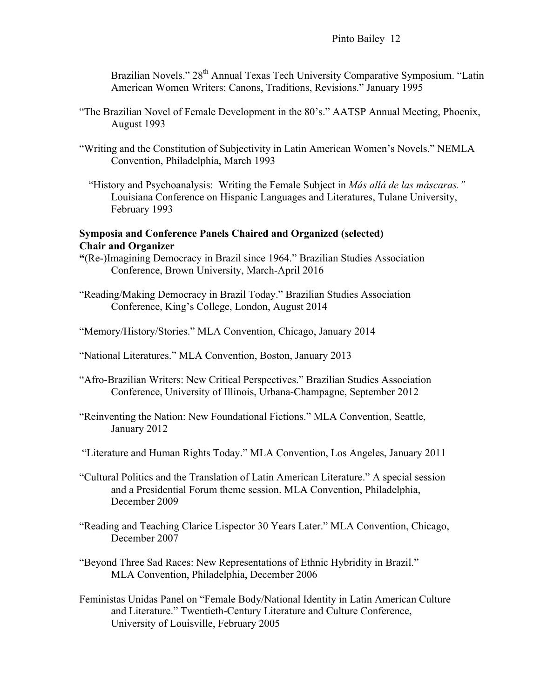Brazilian Novels." 28<sup>th</sup> Annual Texas Tech University Comparative Symposium. "Latin American Women Writers: Canons, Traditions, Revisions." January 1995

- "The Brazilian Novel of Female Development in the 80's." AATSP Annual Meeting, Phoenix, August 1993
- "Writing and the Constitution of Subjectivity in Latin American Women's Novels." NEMLA Convention, Philadelphia, March 1993
	- "History and Psychoanalysis: Writing the Female Subject in *Más allá de las máscaras."* Louisiana Conference on Hispanic Languages and Literatures, Tulane University, February 1993

## **Symposia and Conference Panels Chaired and Organized (selected) Chair and Organizer**

- **"**(Re-)Imagining Democracy in Brazil since 1964." Brazilian Studies Association Conference, Brown University, March-April 2016
- "Reading/Making Democracy in Brazil Today." Brazilian Studies Association Conference, King's College, London, August 2014
- "Memory/History/Stories." MLA Convention, Chicago, January 2014
- "National Literatures." MLA Convention, Boston, January 2013
- "Afro-Brazilian Writers: New Critical Perspectives." Brazilian Studies Association Conference, University of Illinois, Urbana-Champagne, September 2012
- "Reinventing the Nation: New Foundational Fictions." MLA Convention, Seattle, January 2012
- "Literature and Human Rights Today." MLA Convention, Los Angeles, January 2011
- "Cultural Politics and the Translation of Latin American Literature." A special session and a Presidential Forum theme session. MLA Convention, Philadelphia, December 2009
- "Reading and Teaching Clarice Lispector 30 Years Later." MLA Convention, Chicago, December 2007
- "Beyond Three Sad Races: New Representations of Ethnic Hybridity in Brazil." MLA Convention, Philadelphia, December 2006
- Feministas Unidas Panel on "Female Body/National Identity in Latin American Culture and Literature." Twentieth-Century Literature and Culture Conference, University of Louisville, February 2005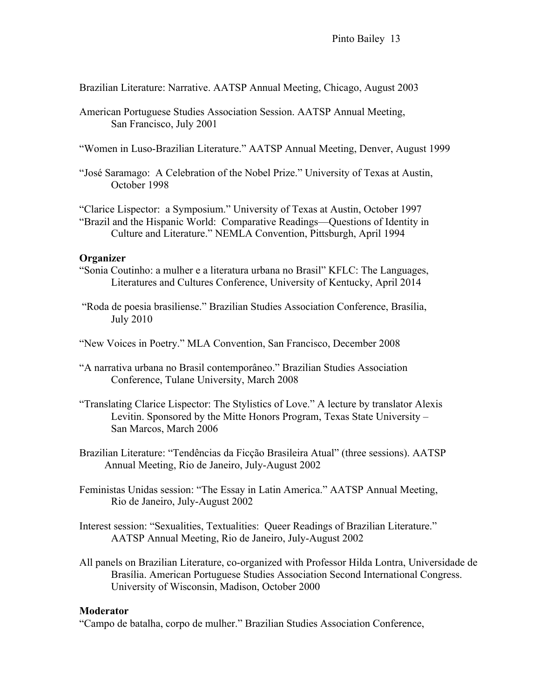Brazilian Literature: Narrative. AATSP Annual Meeting, Chicago, August 2003

- American Portuguese Studies Association Session. AATSP Annual Meeting, San Francisco, July 2001
- "Women in Luso-Brazilian Literature." AATSP Annual Meeting, Denver, August 1999
- "José Saramago: A Celebration of the Nobel Prize." University of Texas at Austin, October 1998

"Clarice Lispector: a Symposium." University of Texas at Austin, October 1997 "Brazil and the Hispanic World: Comparative Readings—Questions of Identity in Culture and Literature." NEMLA Convention, Pittsburgh, April 1994

#### **Organizer**

- "Sonia Coutinho: a mulher e a literatura urbana no Brasil" KFLC: The Languages, Literatures and Cultures Conference, University of Kentucky, April 2014
- "Roda de poesia brasiliense." Brazilian Studies Association Conference, Brasília, July 2010

"New Voices in Poetry." MLA Convention, San Francisco, December 2008

- "A narrativa urbana no Brasil contemporâneo." Brazilian Studies Association Conference, Tulane University, March 2008
- "Translating Clarice Lispector: The Stylistics of Love." A lecture by translator Alexis Levitin. Sponsored by the Mitte Honors Program, Texas State University – San Marcos, March 2006
- Brazilian Literature: "Tendências da Ficção Brasileira Atual" (three sessions). AATSP Annual Meeting, Rio de Janeiro, July-August 2002
- Feministas Unidas session: "The Essay in Latin America." AATSP Annual Meeting, Rio de Janeiro, July-August 2002
- Interest session: "Sexualities, Textualities: Queer Readings of Brazilian Literature." AATSP Annual Meeting, Rio de Janeiro, July-August 2002
- All panels on Brazilian Literature, co-organized with Professor Hilda Lontra, Universidade de Brasília. American Portuguese Studies Association Second International Congress. University of Wisconsin, Madison, October 2000

## **Moderator**

"Campo de batalha, corpo de mulher." Brazilian Studies Association Conference,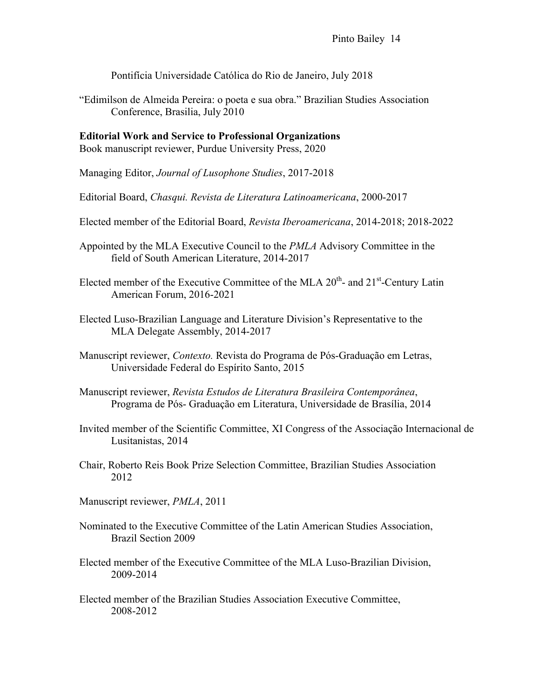Pontifícia Universidade Católica do Rio de Janeiro, July 2018

"Edimilson de Almeida Pereira: o poeta e sua obra." Brazilian Studies Association Conference, Brasilia, July 2010

**Editorial Work and Service to Professional Organizations** Book manuscript reviewer, Purdue University Press, 2020

Managing Editor, *Journal of Lusophone Studies*, 2017-2018

Editorial Board, *Chasqui. Revista de Literatura Latinoamericana*, 2000-2017

Elected member of the Editorial Board, *Revista Iberoamericana*, 2014-2018; 2018-2022

- Appointed by the MLA Executive Council to the *PMLA* Advisory Committee in the field of South American Literature, 2014-2017
- Elected member of the Executive Committee of the MLA  $20<sup>th</sup>$  and  $21<sup>st</sup>$ -Century Latin American Forum, 2016-2021
- Elected Luso-Brazilian Language and Literature Division's Representative to the MLA Delegate Assembly, 2014-2017
- Manuscript reviewer, *Contexto.* Revista do Programa de Pós-Graduação em Letras, Universidade Federal do Espírito Santo, 2015
- Manuscript reviewer, *Revista Estudos de Literatura Brasileira Contemporânea*, Programa de Pós- Graduação em Literatura, Universidade de Brasília, 2014
- Invited member of the Scientific Committee, XI Congress of the Associação Internacional de Lusitanistas, 2014
- Chair, Roberto Reis Book Prize Selection Committee, Brazilian Studies Association 2012
- Manuscript reviewer, *PMLA*, 2011
- Nominated to the Executive Committee of the Latin American Studies Association, Brazil Section 2009
- Elected member of the Executive Committee of the MLA Luso-Brazilian Division, 2009-2014
- Elected member of the Brazilian Studies Association Executive Committee, 2008-2012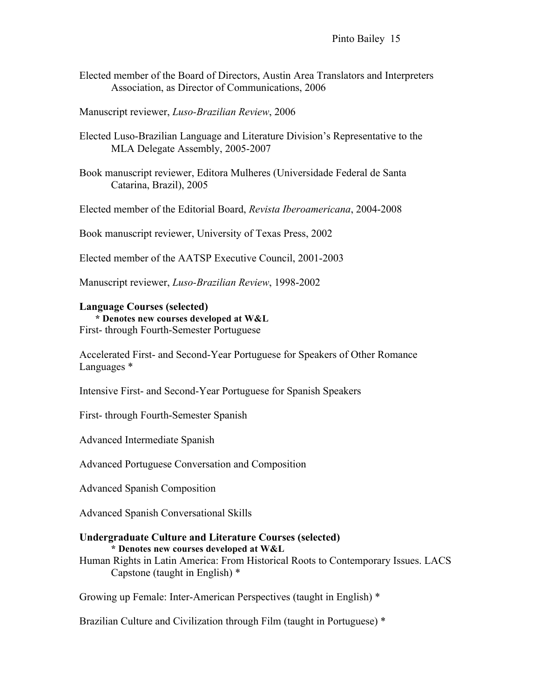- Elected member of the Board of Directors, Austin Area Translators and Interpreters Association, as Director of Communications, 2006
- Manuscript reviewer, *Luso-Brazilian Review*, 2006
- Elected Luso-Brazilian Language and Literature Division's Representative to the MLA Delegate Assembly, 2005-2007
- Book manuscript reviewer, Editora Mulheres (Universidade Federal de Santa Catarina, Brazil), 2005
- Elected member of the Editorial Board, *Revista Iberoamericana*, 2004-2008
- Book manuscript reviewer, University of Texas Press, 2002
- Elected member of the AATSP Executive Council, 2001-2003
- Manuscript reviewer, *Luso-Brazilian Review*, 1998-2002

#### **Language Courses (selected)**

**\* Denotes new courses developed at W&L** First- through Fourth-Semester Portuguese

Accelerated First- and Second-Year Portuguese for Speakers of Other Romance Languages \*

Intensive First- and Second-Year Portuguese for Spanish Speakers

First- through Fourth-Semester Spanish

Advanced Intermediate Spanish

Advanced Portuguese Conversation and Composition

Advanced Spanish Composition

Advanced Spanish Conversational Skills

# **Undergraduate Culture and Literature Courses (selected)**

**\* Denotes new courses developed at W&L** Human Rights in Latin America: From Historical Roots to Contemporary Issues. LACS Capstone (taught in English) \*

Growing up Female: Inter-American Perspectives (taught in English) \*

Brazilian Culture and Civilization through Film (taught in Portuguese) \*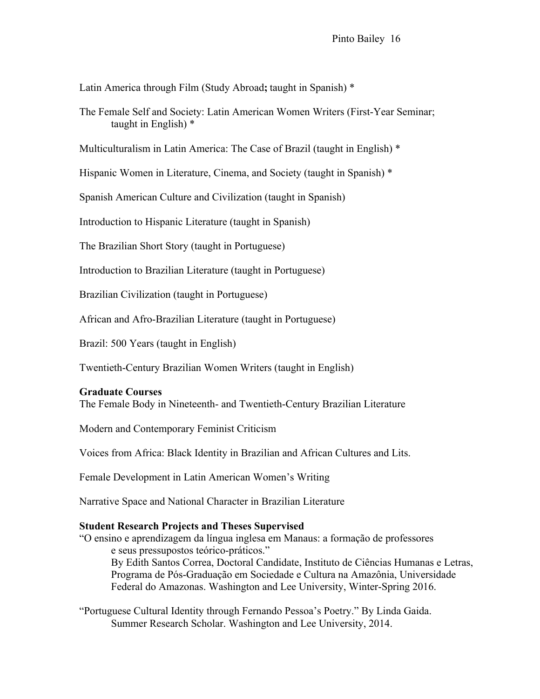Latin America through Film (Study Abroad**;** taught in Spanish) \*

The Female Self and Society: Latin American Women Writers (First-Year Seminar; taught in English) \*

Multiculturalism in Latin America: The Case of Brazil (taught in English) \*

Hispanic Women in Literature, Cinema, and Society (taught in Spanish) \*

Spanish American Culture and Civilization (taught in Spanish)

Introduction to Hispanic Literature (taught in Spanish)

The Brazilian Short Story (taught in Portuguese)

Introduction to Brazilian Literature (taught in Portuguese)

Brazilian Civilization (taught in Portuguese)

African and Afro-Brazilian Literature (taught in Portuguese)

Brazil: 500 Years (taught in English)

Twentieth-Century Brazilian Women Writers (taught in English)

#### **Graduate Courses**

The Female Body in Nineteenth- and Twentieth-Century Brazilian Literature

Modern and Contemporary Feminist Criticism

Voices from Africa: Black Identity in Brazilian and African Cultures and Lits.

Female Development in Latin American Women's Writing

Narrative Space and National Character in Brazilian Literature

#### **Student Research Projects and Theses Supervised**

"O ensino e aprendizagem da língua inglesa em Manaus: a formação de professores e seus pressupostos teórico-práticos." By Edith Santos Correa, Doctoral Candidate, Instituto de Ciências Humanas e Letras, Programa de Pós-Graduação em Sociedade e Cultura na Amazônia, Universidade Federal do Amazonas. Washington and Lee University, Winter-Spring 2016.

"Portuguese Cultural Identity through Fernando Pessoa's Poetry." By Linda Gaida. Summer Research Scholar. Washington and Lee University, 2014.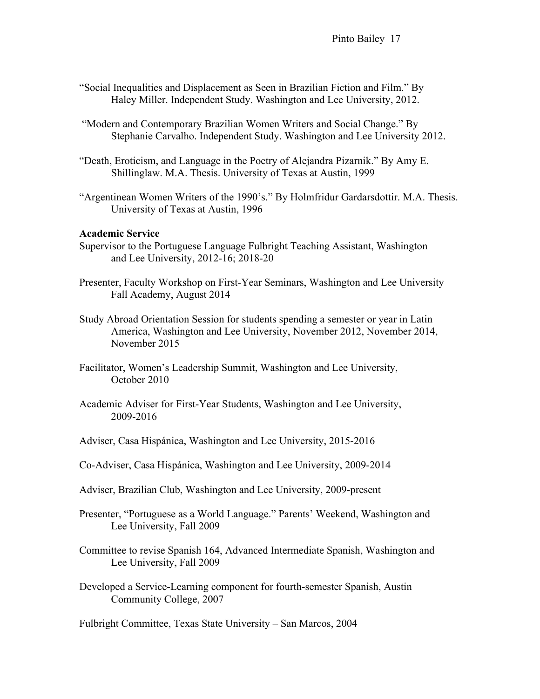Pinto Bailey 17

- "Social Inequalities and Displacement as Seen in Brazilian Fiction and Film." By Haley Miller. Independent Study. Washington and Lee University, 2012.
- "Modern and Contemporary Brazilian Women Writers and Social Change." By Stephanie Carvalho. Independent Study. Washington and Lee University 2012.
- "Death, Eroticism, and Language in the Poetry of Alejandra Pizarnik." By Amy E. Shillinglaw. M.A. Thesis. University of Texas at Austin, 1999
- "Argentinean Women Writers of the 1990's." By Holmfridur Gardarsdottir. M.A. Thesis. University of Texas at Austin, 1996

#### **Academic Service**

- Supervisor to the Portuguese Language Fulbright Teaching Assistant, Washington and Lee University, 2012-16; 2018-20
- Presenter, Faculty Workshop on First-Year Seminars, Washington and Lee University Fall Academy, August 2014
- Study Abroad Orientation Session for students spending a semester or year in Latin America, Washington and Lee University, November 2012, November 2014, November 2015
- Facilitator, Women's Leadership Summit, Washington and Lee University, October 2010
- Academic Adviser for First-Year Students, Washington and Lee University, 2009-2016
- Adviser, Casa Hispánica, Washington and Lee University, 2015-2016
- Co-Adviser, Casa Hispánica, Washington and Lee University, 2009-2014
- Adviser, Brazilian Club, Washington and Lee University, 2009-present
- Presenter, "Portuguese as a World Language." Parents' Weekend, Washington and Lee University, Fall 2009
- Committee to revise Spanish 164, Advanced Intermediate Spanish, Washington and Lee University, Fall 2009
- Developed a Service-Learning component for fourth-semester Spanish, Austin Community College, 2007

Fulbright Committee, Texas State University – San Marcos, 2004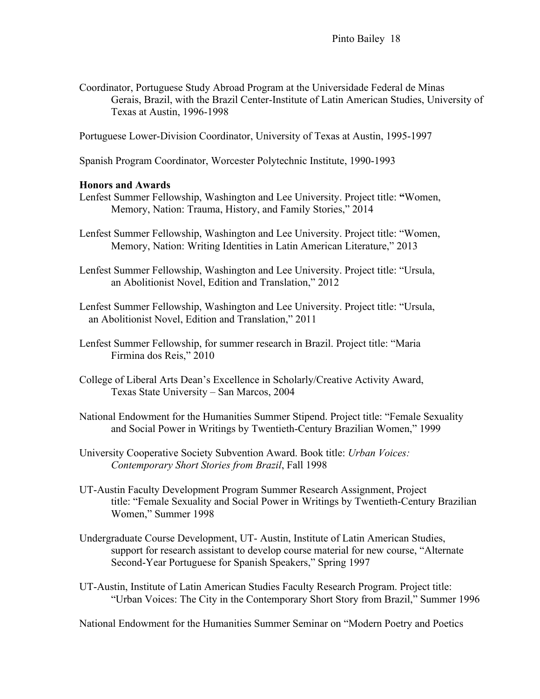Coordinator, Portuguese Study Abroad Program at the Universidade Federal de Minas Gerais, Brazil, with the Brazil Center-Institute of Latin American Studies, University of Texas at Austin, 1996-1998

Portuguese Lower-Division Coordinator, University of Texas at Austin, 1995-1997

Spanish Program Coordinator, Worcester Polytechnic Institute, 1990-1993

## **Honors and Awards**

- Lenfest Summer Fellowship, Washington and Lee University. Project title: **"**Women, Memory, Nation: Trauma, History, and Family Stories," 2014
- Lenfest Summer Fellowship, Washington and Lee University. Project title: "Women, Memory, Nation: Writing Identities in Latin American Literature," 2013

Lenfest Summer Fellowship, Washington and Lee University. Project title: "Ursula, an Abolitionist Novel, Edition and Translation," 2012

- Lenfest Summer Fellowship, Washington and Lee University. Project title: "Ursula, an Abolitionist Novel, Edition and Translation," 2011
- Lenfest Summer Fellowship, for summer research in Brazil. Project title: "Maria Firmina dos Reis," 2010
- College of Liberal Arts Dean's Excellence in Scholarly/Creative Activity Award, Texas State University – San Marcos, 2004
- National Endowment for the Humanities Summer Stipend. Project title: "Female Sexuality and Social Power in Writings by Twentieth-Century Brazilian Women," 1999
- University Cooperative Society Subvention Award. Book title: *Urban Voices: Contemporary Short Stories from Brazil*, Fall 1998
- UT-Austin Faculty Development Program Summer Research Assignment, Project title: "Female Sexuality and Social Power in Writings by Twentieth-Century Brazilian Women," Summer 1998
- Undergraduate Course Development, UT- Austin, Institute of Latin American Studies, support for research assistant to develop course material for new course, "Alternate Second-Year Portuguese for Spanish Speakers," Spring 1997
- UT-Austin, Institute of Latin American Studies Faculty Research Program. Project title: "Urban Voices: The City in the Contemporary Short Story from Brazil," Summer 1996

National Endowment for the Humanities Summer Seminar on "Modern Poetry and Poetics